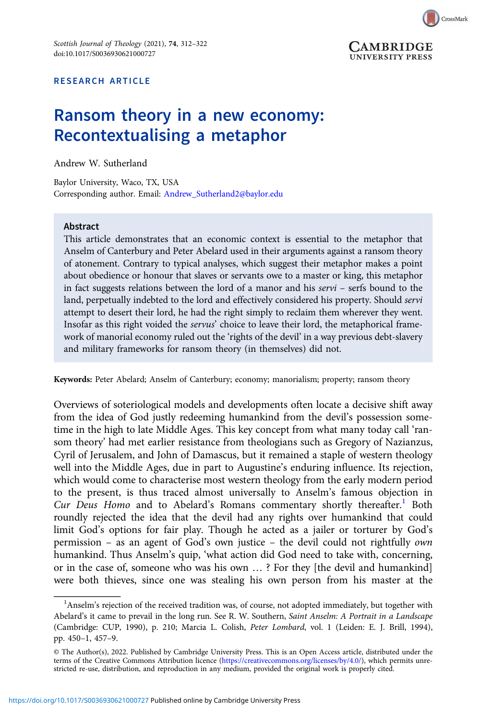

### RESEARCH ARTICLE

# Ransom theory in a new economy: Recontextualising a metaphor

Andrew W. Sutherland

Baylor University, Waco, TX, USA Corresponding author. Email: [Andrew\\_Sutherland2@baylor.edu](mailto:Andrew_Sutherland2@baylor.edu)

#### Abstract

This article demonstrates that an economic context is essential to the metaphor that Anselm of Canterbury and Peter Abelard used in their arguments against a ransom theory of atonement. Contrary to typical analyses, which suggest their metaphor makes a point about obedience or honour that slaves or servants owe to a master or king, this metaphor in fact suggests relations between the lord of a manor and his servi – serfs bound to the land, perpetually indebted to the lord and effectively considered his property. Should servi attempt to desert their lord, he had the right simply to reclaim them wherever they went. Insofar as this right voided the servus' choice to leave their lord, the metaphorical framework of manorial economy ruled out the 'rights of the devil' in a way previous debt-slavery and military frameworks for ransom theory (in themselves) did not.

Keywords: Peter Abelard; Anselm of Canterbury; economy; manorialism; property; ransom theory

Overviews of soteriological models and developments often locate a decisive shift away from the idea of God justly redeeming humankind from the devil's possession sometime in the high to late Middle Ages. This key concept from what many today call 'ransom theory' had met earlier resistance from theologians such as Gregory of Nazianzus, Cyril of Jerusalem, and John of Damascus, but it remained a staple of western theology well into the Middle Ages, due in part to Augustine's enduring influence. Its rejection, which would come to characterise most western theology from the early modern period to the present, is thus traced almost universally to Anselm's famous objection in Cur Deus Homo and to Abelard's Romans commentary shortly thereafter.<sup>1</sup> Both roundly rejected the idea that the devil had any rights over humankind that could limit God's options for fair play. Though he acted as a jailer or torturer by God's permission – as an agent of God's own justice – the devil could not rightfully own humankind. Thus Anselm's quip, 'what action did God need to take with, concerning, or in the case of, someone who was his own … ? For they [the devil and humankind] were both thieves, since one was stealing his own person from his master at the

<sup>&</sup>lt;sup>1</sup> Anselm's rejection of the received tradition was, of course, not adopted immediately, but together with Abelard's it came to prevail in the long run. See R. W. Southern, Saint Anselm: A Portrait in a Landscape (Cambridge: CUP, 1990), p. 210; Marcia L. Colish, Peter Lombard, vol. 1 (Leiden: E. J. Brill, 1994), pp. 450–1, 457–9.

<sup>©</sup> The Author(s), 2022. Published by Cambridge University Press. This is an Open Access article, distributed under the terms of the Creative Commons Attribution licence [\(https://creativecommons.org/licenses/by/4.0/](https://creativecommons.org/licenses/by/4.0/)), which permits unrestricted re-use, distribution, and reproduction in any medium, provided the original work is properly cited.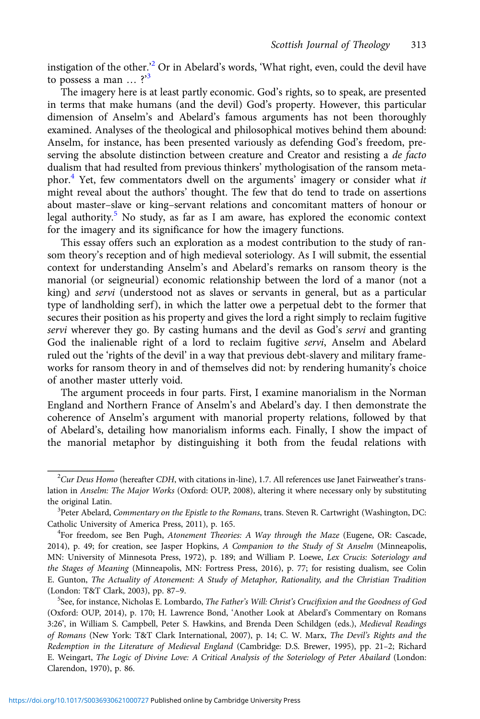instigation of the other.' <sup>2</sup> Or in Abelard's words, 'What right, even, could the devil have to possess a man  $\ldots$  ?<sup>3</sup>

The imagery here is at least partly economic. God's rights, so to speak, are presented in terms that make humans (and the devil) God's property. However, this particular dimension of Anselm's and Abelard's famous arguments has not been thoroughly examined. Analyses of the theological and philosophical motives behind them abound: Anselm, for instance, has been presented variously as defending God's freedom, preserving the absolute distinction between creature and Creator and resisting a *de facto* dualism that had resulted from previous thinkers' mythologisation of the ransom metaphor.<sup>4</sup> Yet, few commentators dwell on the arguments' imagery or consider what it might reveal about the authors' thought. The few that do tend to trade on assertions about master–slave or king–servant relations and concomitant matters of honour or legal authority.<sup>5</sup> No study, as far as I am aware, has explored the economic context for the imagery and its significance for how the imagery functions.

This essay offers such an exploration as a modest contribution to the study of ransom theory's reception and of high medieval soteriology. As I will submit, the essential context for understanding Anselm's and Abelard's remarks on ransom theory is the manorial (or seigneurial) economic relationship between the lord of a manor (not a king) and servi (understood not as slaves or servants in general, but as a particular type of landholding serf), in which the latter owe a perpetual debt to the former that secures their position as his property and gives the lord a right simply to reclaim fugitive servi wherever they go. By casting humans and the devil as God's servi and granting God the inalienable right of a lord to reclaim fugitive servi, Anselm and Abelard ruled out the 'rights of the devil' in a way that previous debt-slavery and military frameworks for ransom theory in and of themselves did not: by rendering humanity's choice of another master utterly void.

The argument proceeds in four parts. First, I examine manorialism in the Norman England and Northern France of Anselm's and Abelard's day. I then demonstrate the coherence of Anselm's argument with manorial property relations, followed by that of Abelard's, detailing how manorialism informs each. Finally, I show the impact of the manorial metaphor by distinguishing it both from the feudal relations with

 ${}^{2}$ Cur Deus Homo (hereafter CDH, with citations in-line), 1.7. All references use Janet Fairweather's translation in Anselm: The Major Works (Oxford: OUP, 2008), altering it where necessary only by substituting the original Latin.

<sup>&</sup>lt;sup>3</sup>Peter Abelard, Commentary on the Epistle to the Romans, trans. Steven R. Cartwright (Washington, DC: Catholic University of America Press, 2011), p. 165. <sup>4</sup>

For freedom, see Ben Pugh, Atonement Theories: A Way through the Maze (Eugene, OR: Cascade, 2014), p. 49; for creation, see Jasper Hopkins, A Companion to the Study of St Anselm (Minneapolis, MN: University of Minnesota Press, 1972), p. 189; and William P. Loewe, Lex Crucis: Soteriology and the Stages of Meaning (Minneapolis, MN: Fortress Press, 2016), p. 77; for resisting dualism, see Colin E. Gunton, The Actuality of Atonement: A Study of Metaphor, Rationality, and the Christian Tradition (London: T&T Clark, 2003), pp. 87–9. <sup>5</sup>

<sup>&</sup>lt;sup>5</sup>See, for instance, Nicholas E. Lombardo, *The Father's Will: Christ's Crucifixion and the Goodness of God* (Oxford: OUP, 2014), p. 170; H. Lawrence Bond, 'Another Look at Abelard's Commentary on Romans 3:26', in William S. Campbell, Peter S. Hawkins, and Brenda Deen Schildgen (eds.), Medieval Readings of Romans (New York: T&T Clark International, 2007), p. 14; C. W. Marx, The Devil's Rights and the Redemption in the Literature of Medieval England (Cambridge: D.S. Brewer, 1995), pp. 21–2; Richard E. Weingart, The Logic of Divine Love: A Critical Analysis of the Soteriology of Peter Abailard (London: Clarendon, 1970), p. 86.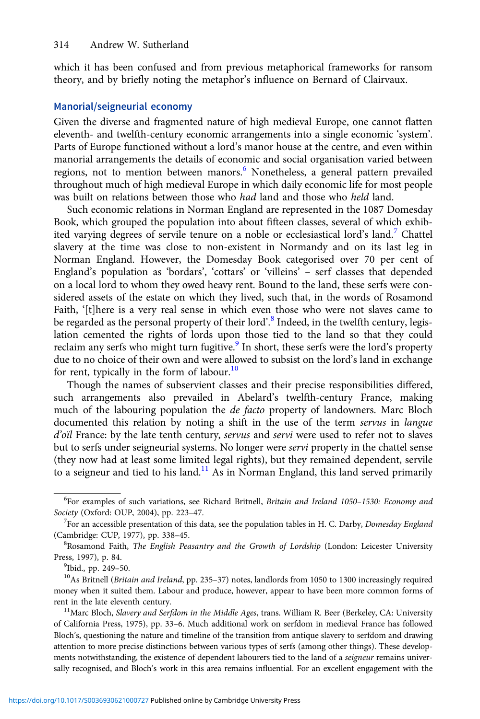which it has been confused and from previous metaphorical frameworks for ransom theory, and by briefly noting the metaphor's influence on Bernard of Clairvaux.

## Manorial/seigneurial economy

Given the diverse and fragmented nature of high medieval Europe, one cannot flatten eleventh- and twelfth-century economic arrangements into a single economic 'system'. Parts of Europe functioned without a lord's manor house at the centre, and even within manorial arrangements the details of economic and social organisation varied between regions, not to mention between manors.<sup>6</sup> Nonetheless, a general pattern prevailed throughout much of high medieval Europe in which daily economic life for most people was built on relations between those who had land and those who held land.

Such economic relations in Norman England are represented in the 1087 Domesday Book, which grouped the population into about fifteen classes, several of which exhibited varying degrees of servile tenure on a noble or ecclesiastical lord's land.<sup>7</sup> Chattel slavery at the time was close to non-existent in Normandy and on its last leg in Norman England. However, the Domesday Book categorised over 70 per cent of England's population as 'bordars', 'cottars' or 'villeins' – serf classes that depended on a local lord to whom they owed heavy rent. Bound to the land, these serfs were considered assets of the estate on which they lived, such that, in the words of Rosamond Faith, '[t]here is a very real sense in which even those who were not slaves came to be regarded as the personal property of their lord'.<sup>8</sup> Indeed, in the twelfth century, legislation cemented the rights of lords upon those tied to the land so that they could reclaim any serfs who might turn fugitive.<sup>9</sup> In short, these serfs were the lord's property due to no choice of their own and were allowed to subsist on the lord's land in exchange for rent, typically in the form of labour.<sup>10</sup>

Though the names of subservient classes and their precise responsibilities differed, such arrangements also prevailed in Abelard's twelfth-century France, making much of the labouring population the de facto property of landowners. Marc Bloch documented this relation by noting a shift in the use of the term servus in langue d'oïl France: by the late tenth century, servus and servi were used to refer not to slaves but to serfs under seigneurial systems. No longer were servi property in the chattel sense (they now had at least some limited legal rights), but they remained dependent, servile to a seigneur and tied to his land. $11$  As in Norman England, this land served primarily

<sup>&</sup>lt;sup>6</sup>For examples of such variations, see Richard Britnell, Britain and Ireland 1050-1530: Economy and Society (Oxford: OUP, 2004), pp. 223-47.

 $^{7}$ For an accessible presentation of this data, see the population tables in H. C. Darby, Domesday England (Cambridge: CUP, 1977), pp. 338–45. <sup>8</sup>

<sup>&</sup>lt;sup>8</sup>Rosamond Faith, The English Peasantry and the Growth of Lordship (London: Leicester University Press, 1997), p. 84.<br><sup>9</sup>Ibid., pp. 249–50.

 $10$ As Britnell (Britain and Ireland, pp. 235–37) notes, landlords from 1050 to 1300 increasingly required money when it suited them. Labour and produce, however, appear to have been more common forms of rent in the late eleventh century.<br><sup>11</sup>Marc Bloch, Slavery and Serfdom in the Middle Ages, trans. William R. Beer (Berkeley, CA: University

of California Press, 1975), pp. 33–6. Much additional work on serfdom in medieval France has followed Bloch's, questioning the nature and timeline of the transition from antique slavery to serfdom and drawing attention to more precise distinctions between various types of serfs (among other things). These developments notwithstanding, the existence of dependent labourers tied to the land of a seigneur remains universally recognised, and Bloch's work in this area remains influential. For an excellent engagement with the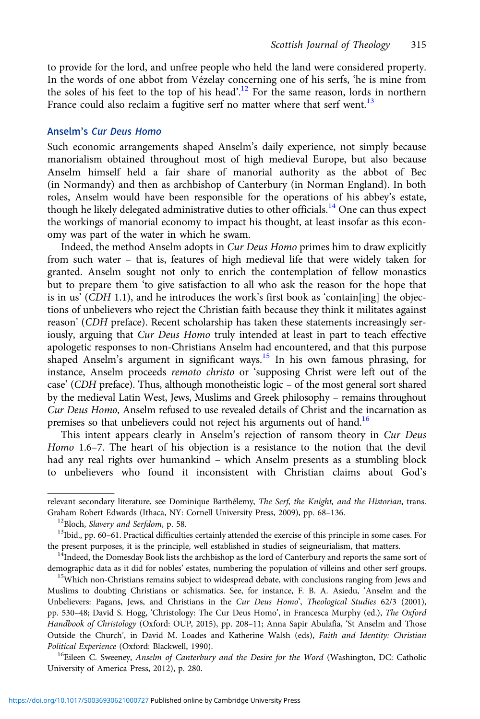to provide for the lord, and unfree people who held the land were considered property. In the words of one abbot from Vézelay concerning one of his serfs, 'he is mine from the soles of his feet to the top of his head'. <sup>12</sup> For the same reason, lords in northern France could also reclaim a fugitive serf no matter where that serf went.<sup>13</sup>

#### Anselm's Cur Deus Homo

Such economic arrangements shaped Anselm's daily experience, not simply because manorialism obtained throughout most of high medieval Europe, but also because Anselm himself held a fair share of manorial authority as the abbot of Bec (in Normandy) and then as archbishop of Canterbury (in Norman England). In both roles, Anselm would have been responsible for the operations of his abbey's estate, though he likely delegated administrative duties to other officials.<sup>14</sup> One can thus expect the workings of manorial economy to impact his thought, at least insofar as this economy was part of the water in which he swam.

Indeed, the method Anselm adopts in Cur Deus Homo primes him to draw explicitly from such water – that is, features of high medieval life that were widely taken for granted. Anselm sought not only to enrich the contemplation of fellow monastics but to prepare them 'to give satisfaction to all who ask the reason for the hope that is in us' (CDH 1.1), and he introduces the work's first book as 'contain[ing] the objections of unbelievers who reject the Christian faith because they think it militates against reason' (CDH preface). Recent scholarship has taken these statements increasingly seriously, arguing that Cur Deus Homo truly intended at least in part to teach effective apologetic responses to non-Christians Anselm had encountered, and that this purpose shaped Anselm's argument in significant ways.<sup>15</sup> In his own famous phrasing, for instance, Anselm proceeds remoto christo or 'supposing Christ were left out of the case' (CDH preface). Thus, although monotheistic logic – of the most general sort shared by the medieval Latin West, Jews, Muslims and Greek philosophy – remains throughout Cur Deus Homo, Anselm refused to use revealed details of Christ and the incarnation as premises so that unbelievers could not reject his arguments out of hand.<sup>16</sup>

This intent appears clearly in Anselm's rejection of ransom theory in Cur Deus Homo 1.6–7. The heart of his objection is a resistance to the notion that the devil had any real rights over humankind – which Anselm presents as a stumbling block to unbelievers who found it inconsistent with Christian claims about God's

relevant secondary literature, see Dominique Barthélemy, The Serf, the Knight, and the Historian, trans.<br>Graham Robert Edwards (Ithaca, NY: Cornell University Press, 2009), pp. 68-136.

<sup>&</sup>lt;sup>12</sup>Bloch, Slavery and Serfdom, p. 58.<br><sup>13</sup>Ibid., pp. 60–61. Practical difficulties certainly attended the exercise of this principle in some cases. For the present purposes, it is the principle, well established in studies of seigneurialism, that matters. <sup>14</sup>Indeed, the Domesday Book lists the archbishop as the lord of Canterbury and reports the same sort of

demographic data as it did for nobles' estates, numbering the population of villeins and other serf groups. 15Which non-Christians remains subject to widespread debate, with conclusions ranging from Jews and

Muslims to doubting Christians or schismatics. See, for instance, F. B. A. Asiedu, 'Anselm and the Unbelievers: Pagans, Jews, and Christians in the Cur Deus Homo', Theological Studies 62/3 (2001), pp. 530–48; David S. Hogg, 'Christology: The Cur Deus Homo', in Francesca Murphy (ed.), The Oxford Handbook of Christology (Oxford: OUP, 2015), pp. 208–11; Anna Sapir Abulafia, 'St Anselm and Those Outside the Church', in David M. Loades and Katherine Walsh (eds), Faith and Identity: Christian Political Experience (Oxford: Blackwell, 1990).<br><sup>16</sup>Eileen C. Sweeney, Anselm of Canterbury and the Desire for the Word (Washington, DC: Catholic

University of America Press, 2012), p. 280.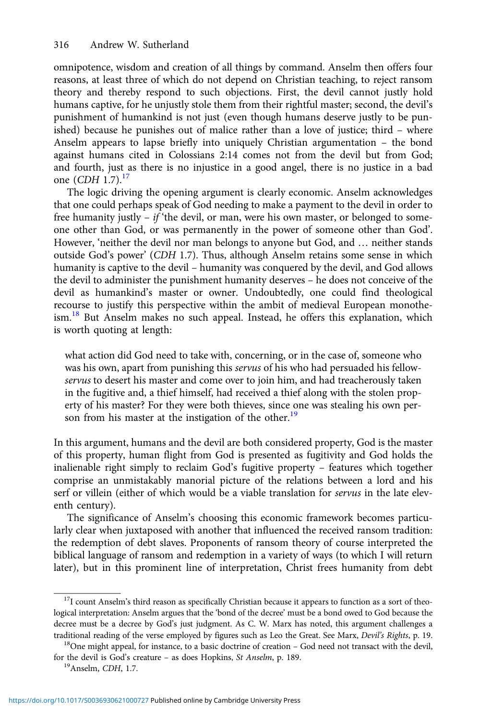omnipotence, wisdom and creation of all things by command. Anselm then offers four reasons, at least three of which do not depend on Christian teaching, to reject ransom theory and thereby respond to such objections. First, the devil cannot justly hold humans captive, for he unjustly stole them from their rightful master; second, the devil's punishment of humankind is not just (even though humans deserve justly to be punished) because he punishes out of malice rather than a love of justice; third – where Anselm appears to lapse briefly into uniquely Christian argumentation – the bond against humans cited in Colossians 2:14 comes not from the devil but from God; and fourth, just as there is no injustice in a good angel, there is no justice in a bad one  $(CDH\ 1.7).^{17}$ 

The logic driving the opening argument is clearly economic. Anselm acknowledges that one could perhaps speak of God needing to make a payment to the devil in order to free humanity justly – *if* 'the devil, or man, were his own master, or belonged to someone other than God, or was permanently in the power of someone other than God'. However, 'neither the devil nor man belongs to anyone but God, and … neither stands outside God's power' (CDH 1.7). Thus, although Anselm retains some sense in which humanity is captive to the devil – humanity was conquered by the devil, and God allows the devil to administer the punishment humanity deserves – he does not conceive of the devil as humankind's master or owner. Undoubtedly, one could find theological recourse to justify this perspective within the ambit of medieval European monotheism.<sup>18</sup> But Anselm makes no such appeal. Instead, he offers this explanation, which is worth quoting at length:

what action did God need to take with, concerning, or in the case of, someone who was his own, apart from punishing this servus of his who had persuaded his fellowservus to desert his master and come over to join him, and had treacherously taken in the fugitive and, a thief himself, had received a thief along with the stolen property of his master? For they were both thieves, since one was stealing his own person from his master at the instigation of the other.<sup>19</sup>

In this argument, humans and the devil are both considered property, God is the master of this property, human flight from God is presented as fugitivity and God holds the inalienable right simply to reclaim God's fugitive property – features which together comprise an unmistakably manorial picture of the relations between a lord and his serf or villein (either of which would be a viable translation for servus in the late eleventh century).

The significance of Anselm's choosing this economic framework becomes particularly clear when juxtaposed with another that influenced the received ransom tradition: the redemption of debt slaves. Proponents of ransom theory of course interpreted the biblical language of ransom and redemption in a variety of ways (to which I will return later), but in this prominent line of interpretation, Christ frees humanity from debt

<sup>&</sup>lt;sup>17</sup>I count Anselm's third reason as specifically Christian because it appears to function as a sort of theological interpretation: Anselm argues that the 'bond of the decree' must be a bond owed to God because the decree must be a decree by God's just judgment. As C. W. Marx has noted, this argument challenges a traditional reading of the verse employed by figures such as Leo the Great. See Marx, *Devil's Rights*, p. 19. <sup>18</sup>One might appeal, for instance, to a basic doctrine of creation – God need not transact with the devil,

for the devil is God's creature – as does Hopkins, St Anselm, p. 189. <sup>19</sup>Anselm, *CDH*, 1.7.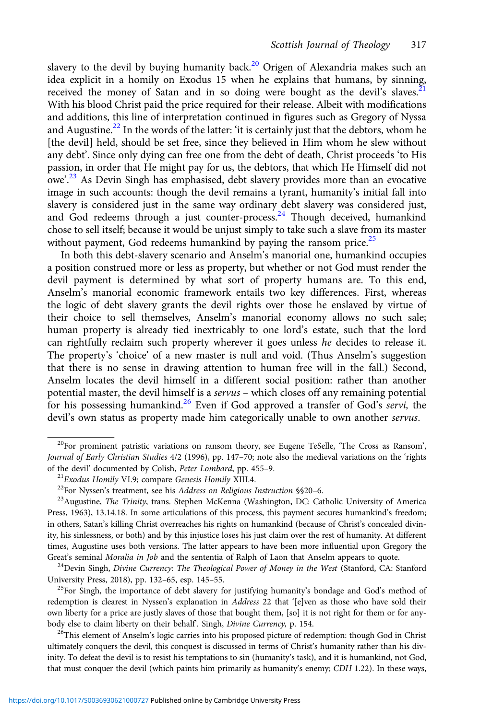slavery to the devil by buying humanity back.<sup>20</sup> Origen of Alexandria makes such an idea explicit in a homily on Exodus 15 when he explains that humans, by sinning, received the money of Satan and in so doing were bought as the devil's slaves.<sup>2</sup> With his blood Christ paid the price required for their release. Albeit with modifications and additions, this line of interpretation continued in figures such as Gregory of Nyssa and Augustine.<sup>22</sup> In the words of the latter: 'it is certainly just that the debtors, whom he [the devil] held, should be set free, since they believed in Him whom he slew without any debt'. Since only dying can free one from the debt of death, Christ proceeds 'to His passion, in order that He might pay for us, the debtors, that which He Himself did not owe'.<sup>23</sup> As Devin Singh has emphasised, debt slavery provides more than an evocative image in such accounts: though the devil remains a tyrant, humanity's initial fall into slavery is considered just in the same way ordinary debt slavery was considered just, and God redeems through a just counter-process.<sup>24</sup> Though deceived, humankind chose to sell itself; because it would be unjust simply to take such a slave from its master without payment, God redeems humankind by paying the ransom price. $^{25}$ 

In both this debt-slavery scenario and Anselm's manorial one, humankind occupies a position construed more or less as property, but whether or not God must render the devil payment is determined by what sort of property humans are. To this end, Anselm's manorial economic framework entails two key differences. First, whereas the logic of debt slavery grants the devil rights over those he enslaved by virtue of their choice to sell themselves, Anselm's manorial economy allows no such sale; human property is already tied inextricably to one lord's estate, such that the lord can rightfully reclaim such property wherever it goes unless he decides to release it. The property's 'choice' of a new master is null and void. (Thus Anselm's suggestion that there is no sense in drawing attention to human free will in the fall.) Second, Anselm locates the devil himself in a different social position: rather than another potential master, the devil himself is a servus – which closes off any remaining potential for his possessing humankind.<sup>26</sup> Even if God approved a transfer of God's servi, the devil's own status as property made him categorically unable to own another servus.

redemption is clearest in Nyssen's explanation in Address 22 that '[e]ven as those who have sold their own liberty for a price are justly slaves of those that bought them, [so] it is not right for them or for anybody else to claim liberty on their behalf'. Singh, *Divine Currency*, p. 154.<br><sup>26</sup>This element of Anselm's logic carries into his proposed picture of redemption: though God in Christ

ultimately conquers the devil, this conquest is discussed in terms of Christ's humanity rather than his divinity. To defeat the devil is to resist his temptations to sin (humanity's task), and it is humankind, not God, that must conquer the devil (which paints him primarily as humanity's enemy; CDH 1.22). In these ways,

<sup>&</sup>lt;sup>20</sup>For prominent patristic variations on ransom theory, see Eugene TeSelle, 'The Cross as Ransom', Journal of Early Christian Studies 4/2 (1996), pp. 147–70; note also the medieval variations on the 'rights of the devil' documented by Colish, *Peter Lombard*, pp. 455–9.<br><sup>21</sup>*Exodus Homily VI.9*; compare *Genesis Homily XIII.4*.<br><sup>22</sup>For Nyssen's treatment, see his *Address on Religious Instruction* §§20–6.<br><sup>23</sup>Augustine, *The* 

Press, 1963), 13.14.18. In some articulations of this process, this payment secures humankind's freedom; in others, Satan's killing Christ overreaches his rights on humankind (because of Christ's concealed divinity, his sinlessness, or both) and by this injustice loses his just claim over the rest of humanity. At different times, Augustine uses both versions. The latter appears to have been more influential upon Gregory the Great's seminal *Moralia in Job* and the sententia of Ralph of Laon that Anselm appears to quote.<br><sup>24</sup>Devin Singh, *Divine Currency: The Theological Power of Money in the West* (Stanford, CA: Stanford

University Press, 2018), pp. 132–65, esp. 145–55.<br><sup>25</sup>For Singh, the importance of debt slavery for justifying humanity's bondage and God's method of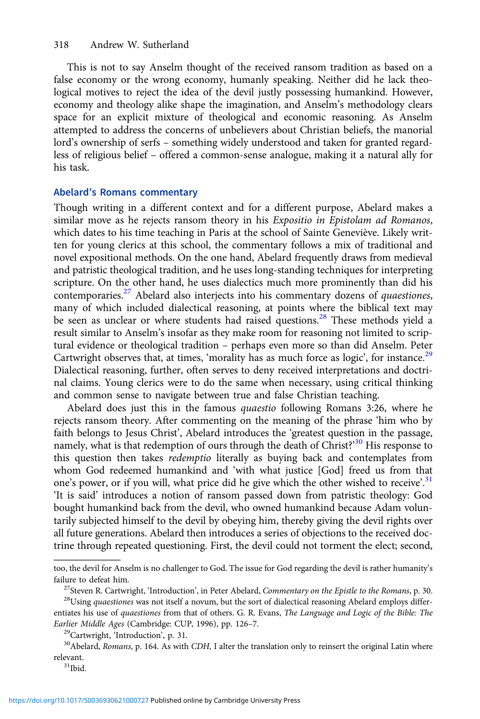This is not to say Anselm thought of the received ransom tradition as based on a false economy or the wrong economy, humanly speaking. Neither did he lack theological motives to reject the idea of the devil justly possessing humankind. However, economy and theology alike shape the imagination, and Anselm's methodology clears space for an explicit mixture of theological and economic reasoning. As Anselm attempted to address the concerns of unbelievers about Christian beliefs, the manorial lord's ownership of serfs – something widely understood and taken for granted regardless of religious belief – offered a common-sense analogue, making it a natural ally for his task.

## Abelard's Romans commentary

Though writing in a different context and for a different purpose, Abelard makes a similar move as he rejects ransom theory in his Expositio in Epistolam ad Romanos, which dates to his time teaching in Paris at the school of Sainte Geneviève. Likely written for young clerics at this school, the commentary follows a mix of traditional and novel expositional methods. On the one hand, Abelard frequently draws from medieval and patristic theological tradition, and he uses long-standing techniques for interpreting scripture. On the other hand, he uses dialectics much more prominently than did his contemporaries.<sup>27</sup> Abelard also interjects into his commentary dozens of *quaestiones*, many of which included dialectical reasoning, at points where the biblical text may be seen as unclear or where students had raised questions.<sup>28</sup> These methods yield a result similar to Anselm's insofar as they make room for reasoning not limited to scriptural evidence or theological tradition – perhaps even more so than did Anselm. Peter Cartwright observes that, at times, 'morality has as much force as logic', for instance.<sup>29</sup> Dialectical reasoning, further, often serves to deny received interpretations and doctrinal claims. Young clerics were to do the same when necessary, using critical thinking and common sense to navigate between true and false Christian teaching.

Abelard does just this in the famous quaestio following Romans 3:26, where he rejects ransom theory. After commenting on the meaning of the phrase 'him who by faith belongs to Jesus Christ', Abelard introduces the 'greatest question in the passage, namely, what is that redemption of ours through the death of Christ?'<sup>30</sup> His response to this question then takes redemptio literally as buying back and contemplates from whom God redeemed humankind and 'with what justice [God] freed us from that one's power, or if you will, what price did he give which the other wished to receive'.<sup>31</sup> 'It is said' introduces a notion of ransom passed down from patristic theology: God bought humankind back from the devil, who owned humankind because Adam voluntarily subjected himself to the devil by obeying him, thereby giving the devil rights over all future generations. Abelard then introduces a series of objections to the received doctrine through repeated questioning. First, the devil could not torment the elect; second,

too, the devil for Anselm is no challenger to God. The issue for God regarding the devil is rather humanity's

failure to defeat him.<br><sup>27</sup>Steven R. Cartwright, 'Introduction', in Peter Abelard, *Commentary on the Epistle to the Romans*, p. 30.<br><sup>28</sup>Using *quaestiones* was not itself a novum, but the sort of dialectical reasoning Abe entiates his use of quaestiones from that of others. G. R. Evans, The Language and Logic of the Bible: The *Earlier Middle Ages* (Cambridge: CUP, 1996), pp. 126–7.<br><sup>29</sup>Cartwright, 'Introduction', p. 31.<br><sup>30</sup>Abelard, *Romans*, p. 164. As with *CDH*, I alter the translation only to reinsert the original Latin where

relevant.<br><sup>31</sup>Ibid.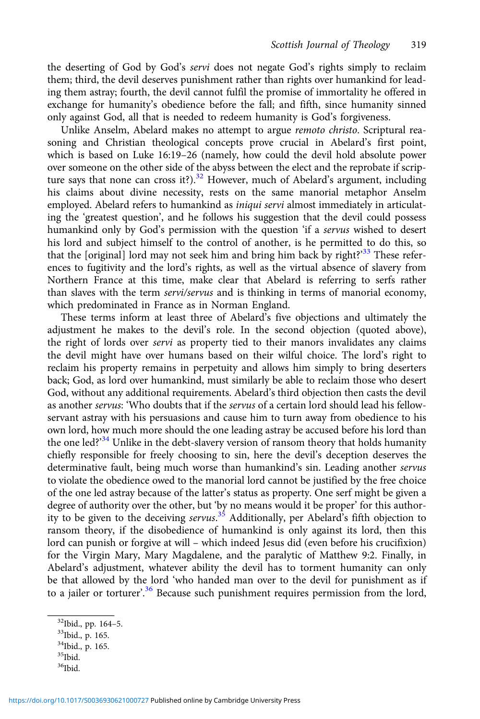the deserting of God by God's servi does not negate God's rights simply to reclaim them; third, the devil deserves punishment rather than rights over humankind for leading them astray; fourth, the devil cannot fulfil the promise of immortality he offered in exchange for humanity's obedience before the fall; and fifth, since humanity sinned only against God, all that is needed to redeem humanity is God's forgiveness.

Unlike Anselm, Abelard makes no attempt to argue remoto christo. Scriptural reasoning and Christian theological concepts prove crucial in Abelard's first point, which is based on Luke 16:19–26 (namely, how could the devil hold absolute power over someone on the other side of the abyss between the elect and the reprobate if scripture says that none can cross it?).<sup>32</sup> However, much of Abelard's argument, including his claims about divine necessity, rests on the same manorial metaphor Anselm employed. Abelard refers to humankind as *iniqui servi* almost immediately in articulating the 'greatest question', and he follows his suggestion that the devil could possess humankind only by God's permission with the question 'if a servus wished to desert his lord and subject himself to the control of another, is he permitted to do this, so that the [original] lord may not seek him and bring him back by right?'<sup>33</sup> These references to fugitivity and the lord's rights, as well as the virtual absence of slavery from Northern France at this time, make clear that Abelard is referring to serfs rather than slaves with the term servi/servus and is thinking in terms of manorial economy, which predominated in France as in Norman England.

These terms inform at least three of Abelard's five objections and ultimately the adjustment he makes to the devil's role. In the second objection (quoted above), the right of lords over servi as property tied to their manors invalidates any claims the devil might have over humans based on their wilful choice. The lord's right to reclaim his property remains in perpetuity and allows him simply to bring deserters back; God, as lord over humankind, must similarly be able to reclaim those who desert God, without any additional requirements. Abelard's third objection then casts the devil as another servus: 'Who doubts that if the servus of a certain lord should lead his fellowservant astray with his persuasions and cause him to turn away from obedience to his own lord, how much more should the one leading astray be accused before his lord than the one led?<sup>34</sup> Unlike in the debt-slavery version of ransom theory that holds humanity chiefly responsible for freely choosing to sin, here the devil's deception deserves the determinative fault, being much worse than humankind's sin. Leading another servus to violate the obedience owed to the manorial lord cannot be justified by the free choice of the one led astray because of the latter's status as property. One serf might be given a degree of authority over the other, but 'by no means would it be proper' for this authority to be given to the deceiving servus.<sup>35</sup> Additionally, per Abelard's fifth objection to ransom theory, if the disobedience of humankind is only against its lord, then this lord can punish or forgive at will – which indeed Jesus did (even before his crucifixion) for the Virgin Mary, Mary Magdalene, and the paralytic of Matthew 9:2. Finally, in Abelard's adjustment, whatever ability the devil has to torment humanity can only be that allowed by the lord 'who handed man over to the devil for punishment as if to a jailer or torturer'.<sup>36</sup> Because such punishment requires permission from the lord,

- 
- 34Ibid., p. 165.

<sup>32</sup>Ibid., pp. 164–5. 33Ibid., p. 165.

<sup>35&</sup>lt;sub>Ibid.</sub>

<sup>&</sup>lt;sup>36</sup>Ibid.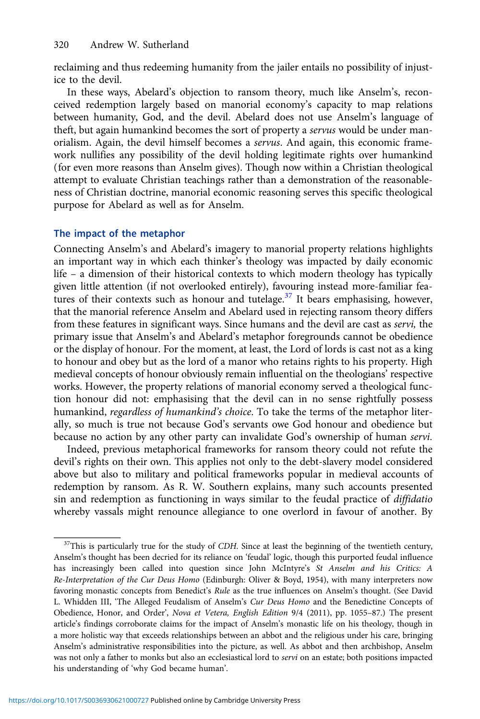reclaiming and thus redeeming humanity from the jailer entails no possibility of injustice to the devil.

In these ways, Abelard's objection to ransom theory, much like Anselm's, reconceived redemption largely based on manorial economy's capacity to map relations between humanity, God, and the devil. Abelard does not use Anselm's language of theft, but again humankind becomes the sort of property a servus would be under manorialism. Again, the devil himself becomes a servus. And again, this economic framework nullifies any possibility of the devil holding legitimate rights over humankind (for even more reasons than Anselm gives). Though now within a Christian theological attempt to evaluate Christian teachings rather than a demonstration of the reasonableness of Christian doctrine, manorial economic reasoning serves this specific theological purpose for Abelard as well as for Anselm.

## The impact of the metaphor

Connecting Anselm's and Abelard's imagery to manorial property relations highlights an important way in which each thinker's theology was impacted by daily economic life – a dimension of their historical contexts to which modern theology has typically given little attention (if not overlooked entirely), favouring instead more-familiar features of their contexts such as honour and tutelage. $37$  It bears emphasising, however, that the manorial reference Anselm and Abelard used in rejecting ransom theory differs from these features in significant ways. Since humans and the devil are cast as servi, the primary issue that Anselm's and Abelard's metaphor foregrounds cannot be obedience or the display of honour. For the moment, at least, the Lord of lords is cast not as a king to honour and obey but as the lord of a manor who retains rights to his property. High medieval concepts of honour obviously remain influential on the theologians' respective works. However, the property relations of manorial economy served a theological function honour did not: emphasising that the devil can in no sense rightfully possess humankind, regardless of humankind's choice. To take the terms of the metaphor literally, so much is true not because God's servants owe God honour and obedience but because no action by any other party can invalidate God's ownership of human servi.

Indeed, previous metaphorical frameworks for ransom theory could not refute the devil's rights on their own. This applies not only to the debt-slavery model considered above but also to military and political frameworks popular in medieval accounts of redemption by ransom. As R. W. Southern explains, many such accounts presented sin and redemption as functioning in ways similar to the feudal practice of diffidatio whereby vassals might renounce allegiance to one overlord in favour of another. By

 $37$ This is particularly true for the study of CDH. Since at least the beginning of the twentieth century, Anselm's thought has been decried for its reliance on 'feudal' logic, though this purported feudal influence has increasingly been called into question since John McIntyre's St Anselm and his Critics: A Re-Interpretation of the Cur Deus Homo (Edinburgh: Oliver & Boyd, 1954), with many interpreters now favoring monastic concepts from Benedict's Rule as the true influences on Anselm's thought. (See David L. Whidden III, 'The Alleged Feudalism of Anselm's Cur Deus Homo and the Benedictine Concepts of Obedience, Honor, and Order', Nova et Vetera, English Edition 9/4 (2011), pp. 1055–87.) The present article's findings corroborate claims for the impact of Anselm's monastic life on his theology, though in a more holistic way that exceeds relationships between an abbot and the religious under his care, bringing Anselm's administrative responsibilities into the picture, as well. As abbot and then archbishop, Anselm was not only a father to monks but also an ecclesiastical lord to servi on an estate; both positions impacted his understanding of 'why God became human'.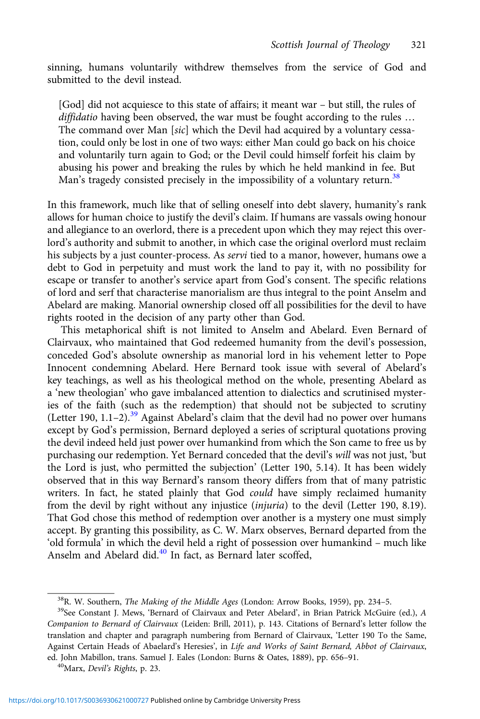sinning, humans voluntarily withdrew themselves from the service of God and submitted to the devil instead.

[God] did not acquiesce to this state of affairs; it meant war – but still, the rules of diffidatio having been observed, the war must be fought according to the rules ... The command over Man [sic] which the Devil had acquired by a voluntary cessation, could only be lost in one of two ways: either Man could go back on his choice and voluntarily turn again to God; or the Devil could himself forfeit his claim by abusing his power and breaking the rules by which he held mankind in fee. But Man's tragedy consisted precisely in the impossibility of a voluntary return.<sup>38</sup>

In this framework, much like that of selling oneself into debt slavery, humanity's rank allows for human choice to justify the devil's claim. If humans are vassals owing honour and allegiance to an overlord, there is a precedent upon which they may reject this overlord's authority and submit to another, in which case the original overlord must reclaim his subjects by a just counter-process. As servi tied to a manor, however, humans owe a debt to God in perpetuity and must work the land to pay it, with no possibility for escape or transfer to another's service apart from God's consent. The specific relations of lord and serf that characterise manorialism are thus integral to the point Anselm and Abelard are making. Manorial ownership closed off all possibilities for the devil to have rights rooted in the decision of any party other than God.

This metaphorical shift is not limited to Anselm and Abelard. Even Bernard of Clairvaux, who maintained that God redeemed humanity from the devil's possession, conceded God's absolute ownership as manorial lord in his vehement letter to Pope Innocent condemning Abelard. Here Bernard took issue with several of Abelard's key teachings, as well as his theological method on the whole, presenting Abelard as a 'new theologian' who gave imbalanced attention to dialectics and scrutinised mysteries of the faith (such as the redemption) that should not be subjected to scrutiny (Letter 190, 1.1–2).<sup>39</sup> Against Abelard's claim that the devil had no power over humans except by God's permission, Bernard deployed a series of scriptural quotations proving the devil indeed held just power over humankind from which the Son came to free us by purchasing our redemption. Yet Bernard conceded that the devil's will was not just, 'but the Lord is just, who permitted the subjection' (Letter 190, 5.14). It has been widely observed that in this way Bernard's ransom theory differs from that of many patristic writers. In fact, he stated plainly that God *could* have simply reclaimed humanity from the devil by right without any injustice (injuria) to the devil (Letter 190, 8.19). That God chose this method of redemption over another is a mystery one must simply accept. By granting this possibility, as C. W. Marx observes, Bernard departed from the 'old formula' in which the devil held a right of possession over humankind – much like Anselm and Abelard did.<sup>40</sup> In fact, as Bernard later scoffed,

<sup>&</sup>lt;sup>38</sup>R. W. Southern, *The Making of the Middle Ages* (London: Arrow Books, 1959), pp. 234–5.<br><sup>39</sup>See Constant J. Mews, 'Bernard of Clairvaux and Peter Abelard', in Brian Patrick McGuire (ed.), A

Companion to Bernard of Clairvaux (Leiden: Brill, 2011), p. 143. Citations of Bernard's letter follow the translation and chapter and paragraph numbering from Bernard of Clairvaux, 'Letter 190 To the Same, Against Certain Heads of Abaelard's Heresies', in Life and Works of Saint Bernard, Abbot of Clairvaux, ed. John Mabillon, trans. Samuel J. Eales (London: Burns & Oates, 1889), pp. 656-91.<br><sup>40</sup>Marx, *Devil's Rights*, p. 23.